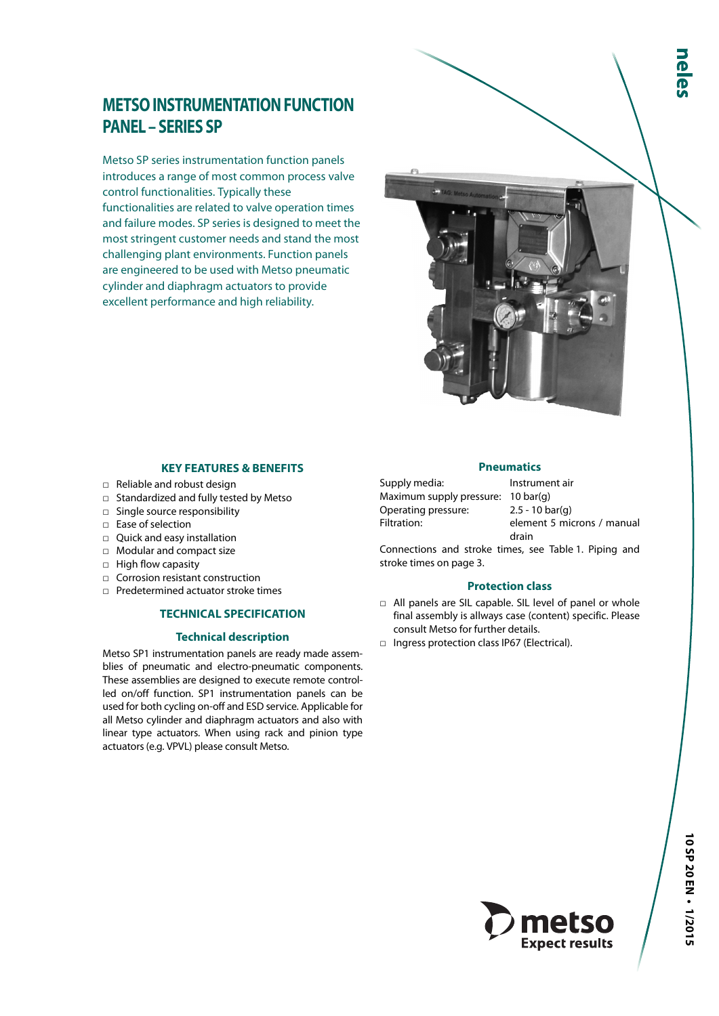# **METSO INSTRUMENTATION FUNCTION PANEL – SERIES SP**

Metso SP series instrumentation function panels introduces a range of most common process valve control functionalities. Typically these functionalities are related to valve operation times and failure modes. SP series is designed to meet the most stringent customer needs and stand the most challenging plant environments. Function panels are engineered to be used with Metso pneumatic cylinder and diaphragm actuators to provide excellent performance and high reliability.

#### **KEY FEATURES & BENEFITS**

- □ Reliable and robust design
- □ Standardized and fully tested by Metso
- □ Single source responsibility
- □ Ease of selection
- □ Quick and easy installation
- □ Modular and compact size
- □ High flow capasity
- □ Corrosion resistant construction
- □ Predetermined actuator stroke times

# **TECHNICAL SPECIFICATION**

#### **Technical description**

Metso SP1 instrumentation panels are ready made assemblies of pneumatic and electro-pneumatic components. These assemblies are designed to execute remote controlled on/off function. SP1 instrumentation panels can be used for both cycling on-off and ESD service. Applicable for all Metso cylinder and diaphragm actuators and also with linear type actuators. When using rack and pinion type actuators (e.g. VPVL) please consult Metso.

#### **Pneumatics**

Supply media: Instrument air Maximum supply pressure: 10 bar(g) Operating pressure: 2.5 - 10 bar(g)

Filtration: element 5 microns / manual drain

Connections and stroke times, see Table 1. Piping and stroke times on page 3.

#### **Protection class**

- □ All panels are SIL capable. SIL level of panel or whole final assembly is allways case (content) specific. Please consult Metso for further details.
- □ Ingress protection class IP67 (Electrical).

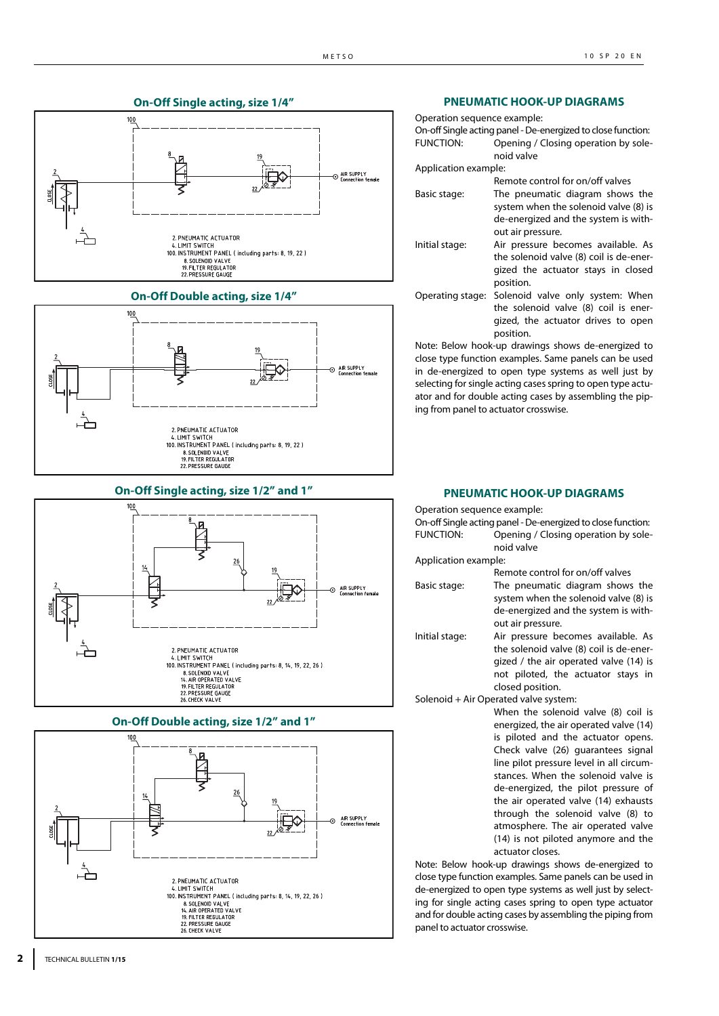





**On-Off Single acting, size 1/2" and 1"**







**PNEUMATIC HOOK-UP DIAGRAMS**

| Operation sequence example: | On-off Single acting panel - De-energized to close function:                                                                     |
|-----------------------------|----------------------------------------------------------------------------------------------------------------------------------|
| <b>FUNCTION:</b>            | Opening / Closing operation by sole-<br>noid valve                                                                               |
| Application example:        |                                                                                                                                  |
|                             | Remote control for on/off valves                                                                                                 |
| Basic stage:                | The pneumatic diagram shows the<br>system when the solenoid valve (8) is<br>de-energized and the system is with-                 |
|                             | out air pressure.                                                                                                                |
| Initial stage:              | Air pressure becomes available. As<br>the solenoid valve (8) coil is de-ener-<br>gized the actuator stays in closed<br>position. |
| Operating stage:            | Solenoid valve only system: When<br>the solenoid valve (8) coil is ener-<br>gized, the actuator drives to open<br>position.      |

Note: Below hook-up drawings shows de-energized to close type function examples. Same panels can be used in de-energized to open type systems as well just by selecting for single acting cases spring to open type actuator and for double acting cases by assembling the piping from panel to actuator crosswise.

#### **PNEUMATIC HOOK-UP DIAGRAMS**

Operation sequence example:

|                      | On-off Single acting panel - De-energized to close function:                                                                          |
|----------------------|---------------------------------------------------------------------------------------------------------------------------------------|
| <b>FUNCTION:</b>     | Opening / Closing operation by sole-<br>noid valve                                                                                    |
| Application example: |                                                                                                                                       |
|                      | Remote control for on/off valves                                                                                                      |
| Basic stage:         | The pneumatic diagram shows the<br>system when the solenoid valve (8) is<br>de-energized and the system is with-<br>out air pressure. |
|                      |                                                                                                                                       |

Initial stage: Air pressure becomes available. As the solenoid valve (8) coil is de-energized / the air operated valve (14) is not piloted, the actuator stays in closed position.

Solenoid + Air Operated valve system:

When the solenoid valve (8) coil is energized, the air operated valve (14) is piloted and the actuator opens. Check valve (26) guarantees signal line pilot pressure level in all circumstances. When the solenoid valve is de-energized, the pilot pressure of the air operated valve (14) exhausts through the solenoid valve (8) to atmosphere. The air operated valve (14) is not piloted anymore and the actuator closes.

Note: Below hook-up drawings shows de-energized to close type function examples. Same panels can be used in de-energized to open type systems as well just by selecting for single acting cases spring to open type actuator and for double acting cases by assembling the piping from panel to actuator crosswise.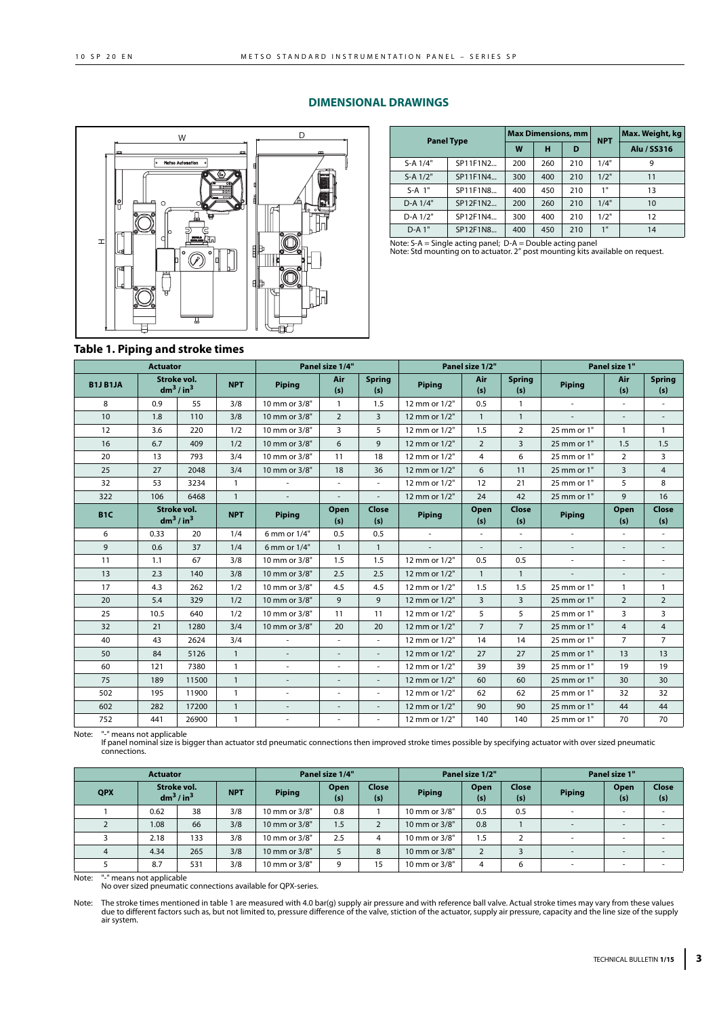## **DIMENSIONAL DRAWINGS**



| D        |              | <b>Panel Type</b> |     | <b>Max Dimensions, mm</b> |     | <b>NPT</b> | Max. Weight, kg |  |
|----------|--------------|-------------------|-----|---------------------------|-----|------------|-----------------|--|
| ≖        |              |                   | W   | н                         | D   |            | Alu / SS316     |  |
|          | S-A 1/4"     | SP11F1N2          | 200 | 260                       | 210 | 1/4"       | 9               |  |
|          | $S-A$ $1/2"$ | SP11F1N4          | 300 | 400                       | 210 | 1/2"       | 11              |  |
| ኴ.<br>IЕ | $S-A$ 1"     | SP11F1N8          | 400 | 450                       | 210 | 1"         | 13              |  |
|          | D-A 1/4"     | SP12F1N2          | 200 | 260                       | 210 | 1/4"       | 10              |  |
|          | D-A 1/2"     | SP12F1N4          | 300 | 400                       | 210 | 1/2"       | 12              |  |
| ൈ        | $D-A1"$      | SP12F1N8          | 400 | 450                       | 210 | 1"         | 14              |  |

Note: S-A = Single acting panel; D-A = Double acting panel Note: Std mounting on to actuator. 2" post mounting kits available on request.

#### **Table 1. Piping and stroke times**

|                  | <b>Actuator</b>                                 |       |              | Panel size 1/4"          |                          |                          | Panel size 1/2"          |                |                      | Panel size 1"            |                              |                          |
|------------------|-------------------------------------------------|-------|--------------|--------------------------|--------------------------|--------------------------|--------------------------|----------------|----------------------|--------------------------|------------------------------|--------------------------|
| <b>B1J B1JA</b>  | Stroke vol.<br>$dm^3/in^3$                      |       | <b>NPT</b>   | <b>Piping</b>            | Air<br>(s)               | <b>Spring</b><br>(s)     | Piping                   | Air<br>(s)     | <b>Spring</b><br>(s) | <b>Piping</b>            | Air<br>(s)                   | <b>Spring</b><br>(s)     |
| 8                | 0.9                                             | 55    | 3/8          | 10 mm or 3/8"            | $\mathbf{1}$             | 1.5                      | 12 mm or 1/2"            | 0.5            | $\mathbf{1}$         | $\sim$                   | $\sim$                       | ÷,                       |
| 10 <sup>10</sup> | 1.8                                             | 110   | 3/8          | 10 mm or 3/8"            | $\overline{2}$           | 3                        | 12 mm or 1/2"            | $\mathbf{1}$   | $\mathbf{1}$         | $\sim$                   | $\overline{\phantom{a}}$     | $\overline{\phantom{a}}$ |
| 12               | 3.6                                             | 220   | 1/2          | 10 mm or 3/8"            | 3                        | 5                        | 12 mm or 1/2"            | 1.5            | $\overline{2}$       | 25 mm or 1"              | $\mathbf{1}$                 | $\mathbf{1}$             |
| 16               | 6.7                                             | 409   | 1/2          | 10 mm or 3/8"            | 6                        | 9                        | 12 mm or 1/2"            | $\overline{2}$ | $\overline{3}$       | 25 mm or 1"              | 1.5                          | 1.5                      |
| 20               | 13                                              | 793   | 3/4          | 10 mm or 3/8"            | 11                       | 18                       | 12 mm or 1/2"            | 4              | 6                    | 25 mm or 1"              | $\overline{2}$               | 3                        |
| 25               | 27                                              | 2048  | 3/4          | 10 mm or 3/8"            | 18                       | 36                       | 12 mm or 1/2"            | 6              | 11                   | 25 mm or 1"              | $\overline{3}$               | $\overline{4}$           |
| 32               | 53                                              | 3234  | $\mathbf{1}$ |                          | $\bar{a}$                | ÷.                       | 12 mm or 1/2"            | 12             | 21                   | 25 mm or 1"              | 5                            | 8                        |
| 322              | 106                                             | 6468  | $\mathbf{1}$ | $\overline{\phantom{a}}$ | $\overline{\phantom{a}}$ | $\mathbf{r}$             | 12 mm or 1/2"            | 24             | 42                   | 25 mm or 1"              | 9                            | 16                       |
| B <sub>1</sub> C | Stroke vol.<br>dm <sup>3</sup> /in <sup>3</sup> |       | <b>NPT</b>   | <b>Piping</b>            | Open<br>(s)              | Close<br>(s)             | Piping                   | Open<br>(s)    | Close<br>(s)         | Piping                   | Open<br>(s)                  | Close<br>(s)             |
| 6                | 0.33                                            | 20    | 1/4          | 6 mm or 1/4"             | 0.5                      | 0.5                      | $\overline{\phantom{a}}$ |                |                      | $\overline{\phantom{a}}$ | $\bar{a}$                    | $\overline{\phantom{a}}$ |
| 9                | 0.6                                             | 37    | 1/4          | 6 mm or 1/4"             | $\mathbf{1}$             | $\mathbf{1}$             |                          |                |                      | $\bar{\phantom{a}}$      | $\blacksquare$               |                          |
| 11               | 1.1                                             | 67    | 3/8          | 10 mm or 3/8"            | 1.5                      | 1.5                      | 12 mm or 1/2"            | 0.5            | 0.5                  | $\overline{\phantom{a}}$ | $\overline{\phantom{a}}$     | $\sim$                   |
| 13               | 2.3                                             | 140   | 3/8          | 10 mm or 3/8"            | 2.5                      | 2.5                      | 12 mm or 1/2"            | $\mathbf{1}$   | $\mathbf{1}$         | $\overline{\phantom{a}}$ | $\qquad \qquad \blacksquare$ | $\overline{\phantom{a}}$ |
| 17               | 4.3                                             | 262   | 1/2          | 10 mm or 3/8"            | 4.5                      | 4.5                      | 12 mm or 1/2"            | 1.5            | 1.5                  | 25 mm or 1"              | $\mathbf{1}$                 | $\mathbf{1}$             |
| 20               | 5.4                                             | 329   | 1/2          | 10 mm or 3/8"            | 9                        | 9                        | 12 mm or 1/2"            | $\overline{3}$ | $\overline{3}$       | 25 mm or 1"              | $\overline{2}$               | $\overline{2}$           |
| 25               | 10.5                                            | 640   | 1/2          | 10 mm or 3/8"            | 11                       | 11                       | 12 mm or 1/2"            | 5              | 5                    | 25 mm or 1"              | 3                            | 3                        |
| 32               | 21                                              | 1280  | 3/4          | 10 mm or 3/8"            | 20                       | 20                       | 12 mm or 1/2"            | $\overline{7}$ | $\overline{7}$       | 25 mm or 1"              | $\overline{4}$               | 4                        |
| 40               | 43                                              | 2624  | 3/4          | $\overline{\phantom{a}}$ | $\overline{\phantom{a}}$ | $\sim$                   | 12 mm or 1/2"            | 14             | 14                   | 25 mm or 1"              | $\overline{7}$               | $\overline{7}$           |
| 50               | 84                                              | 5126  | $\mathbf{1}$ | $\overline{\phantom{a}}$ | $\overline{\phantom{a}}$ | $\overline{\phantom{a}}$ | 12 mm or 1/2"            | 27             | 27                   | 25 mm or 1"              | 13                           | 13                       |
| 60               | 121                                             | 7380  | $\mathbf{1}$ | $\overline{\phantom{a}}$ | $\overline{\phantom{a}}$ | $\sim$                   | 12 mm or 1/2"            | 39             | 39                   | 25 mm or 1"              | 19                           | 19                       |
| 75               | 189                                             | 11500 | $\mathbf{1}$ | $\overline{\phantom{a}}$ | $\overline{\phantom{a}}$ | $\overline{\phantom{a}}$ | 12 mm or 1/2"            | 60             | 60                   | 25 mm or 1"              | 30                           | 30                       |
| 502              | 195                                             | 11900 | $\mathbf{1}$ | $\overline{\phantom{a}}$ | $\overline{\phantom{a}}$ | $\sim$                   | 12 mm or 1/2"            | 62             | 62                   | 25 mm or 1"              | 32                           | 32                       |
| 602              | 282                                             | 17200 | $\mathbf{1}$ | $\overline{\phantom{a}}$ | $\overline{\phantom{a}}$ | $\overline{\phantom{a}}$ | 12 mm or 1/2"            | 90             | 90                   | 25 mm or 1"              | 44                           | 44                       |
| 752              | 441                                             | 26900 | $\mathbf{1}$ | $\sim$                   | $\overline{\phantom{a}}$ | $\sim$                   | 12 mm or 1/2"            | 140            | 140                  | 25 mm or 1"              | 70                           | 70                       |

Note: "-" means not applicable

If panel nominal size is bigger than actuator std pneumatic connections then improved stroke times possible by specifying actuator with over sized pneumatic connections.

| <b>Actuator</b> |                            |     |                                                                             | Panel size 1/4"   |             |              | Panel size 1/2" |              |              | Panel size 1"            |                          |                          |
|-----------------|----------------------------|-----|-----------------------------------------------------------------------------|-------------------|-------------|--------------|-----------------|--------------|--------------|--------------------------|--------------------------|--------------------------|
| <b>QPX</b>      | Stroke vol.<br>$dm^3/in^3$ |     | Close<br>Open<br><b>NPT</b><br><b>Piping</b><br><b>Piping</b><br>(s)<br>(s) |                   | Open<br>(s) | Close<br>(s) | <b>Piping</b>   | Open<br>(s)  | Close<br>(s) |                          |                          |                          |
|                 | 0.62                       | 38  | 3/8                                                                         | 10 mm or 3/8"     | 0.8         |              | 10 mm or 3/8"   | 0.5          | 0.5          | ۰                        | $\sim$                   |                          |
|                 | 0.08                       | 66  | 3/8                                                                         | $10$ mm or $3/8"$ | 1.5         |              | 10 mm or 3/8"   | 0.8          |              | $\overline{\phantom{a}}$ | $\sim$                   | $\overline{\phantom{a}}$ |
|                 | 2.18                       | 133 | 3/8                                                                         | 10 mm or 3/8"     | 2.5         | 4            | 10 mm or 3/8"   | 1.5          |              |                          | $\sim$                   |                          |
|                 | 4.34                       | 265 | 3/8                                                                         | 10 mm or 3/8"     |             | 8            | 10 mm or 3/8"   | $\mathbf{r}$ |              | $\sim$                   | $\overline{\phantom{a}}$ | $\sim$                   |
|                 | 8.7                        | 531 | 3/8                                                                         | 10 mm or 3/8"     | 9           | 15           | 10 mm or 3/8"   | 4            | 6            | -                        | $\sim$                   |                          |

Note: "-" means not applicable No over sized pneumatic connections available for QPX-series.

Note: The stroke times mentioned in table 1 are measured with 4.0 bar(g) supply air pressure and with reference ball valve. Actual stroke times may vary from these values<br>due to different factors such as, but not limited t air system.